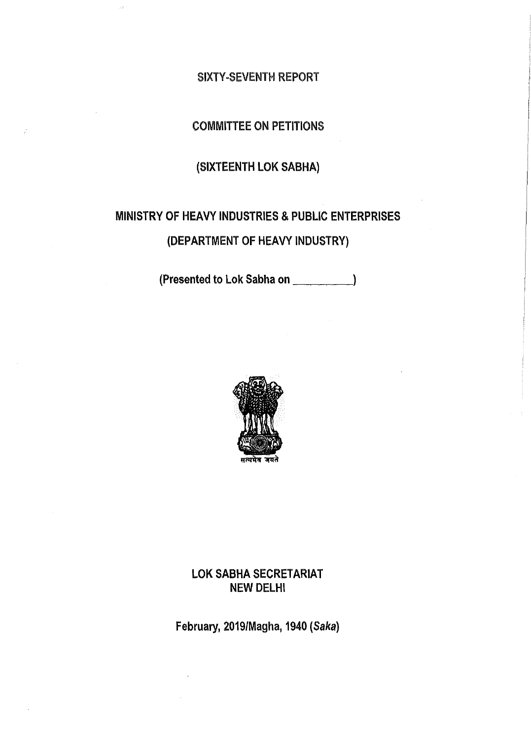#### SIXTY-SEVENTH REPORT

# COMMITTEE ON PETITIONS

# (SIXTEENTH LOK SABHA)

# MINISTRY OF HEAVY INDUSTRIES & PUBLIC ENTERPRISES

# (DEPARTMENT OF HEAVY INDUSTRY)

(Presented to Lok Sabha on \_\_\_\_\_\_\_\_\_\_)



## LOK SABHA SECRETARIAT NEW DELHI

February, 2019/Magha, 1940 (Saka)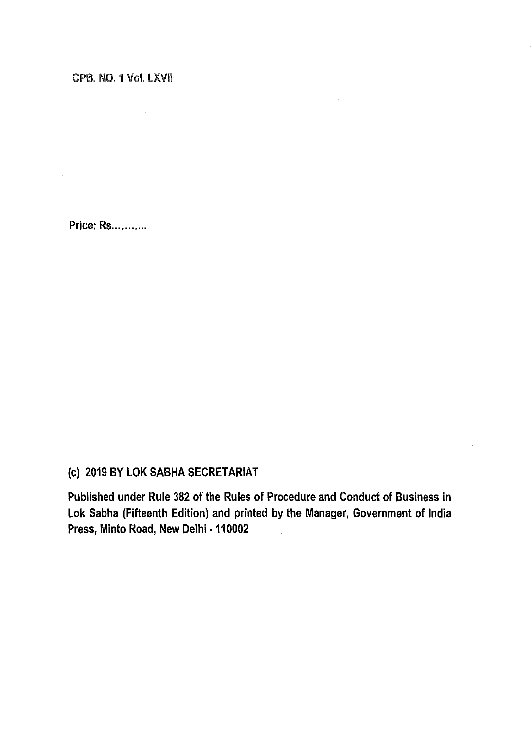## CPB. NO. 1 Vol. LXVII

 $\sim 10^{-10}$  $\mathcal{L}^{\text{max}}_{\text{max}}$  $\mathcal{L}^{\text{max}}$ 

Price: Rs............

# (c) 2019 BY LOK SABHA SECRETARIAT

Published under Rule 382 of the Rules of Procedure and Conduct of Business in Lok Sabha (Fifteenth Edition) and printed by the Manager, Government of India Press, Minto Road, New Delhi - 110002

 $\sim$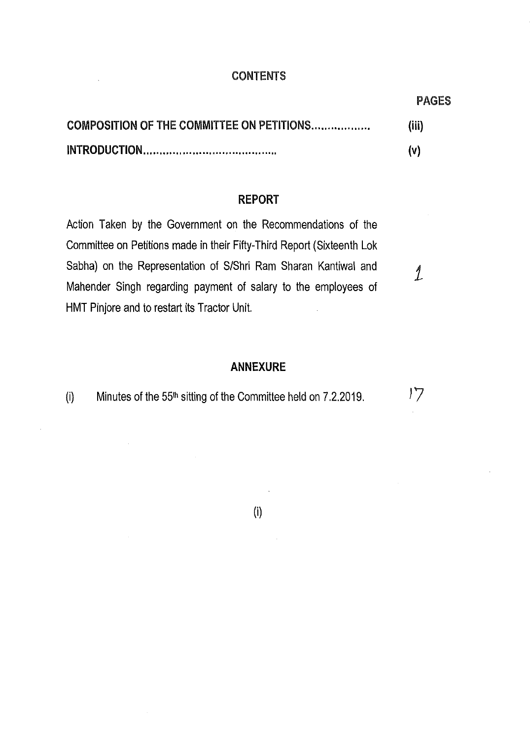#### CONTENTS

PAGES

*i* 

 $17$ 

| COMPOSITION OF THE COMMITTEE ON PETITIONS | (iii) |
|-------------------------------------------|-------|
|                                           | (V)   |

#### **REPORT**

Action Taken by the Government on the Recommendations of the Committee on Petitions made in their Fifty-Third Report (Sixteenth Lok Sabha) on the Representation of S/Shri Ram Sharan Kantiwal and Mahender Singh regarding payment of salary to the employees of HMT Pinjore and to restart its Tractor Unit.

#### **ANNEXURE**

(i) Minutes of the 55<sup>th</sup> sitting of the Committee held on 7.2.2019.

 $\hat{\boldsymbol{\theta}}$ 

 $\sim$   $\sim$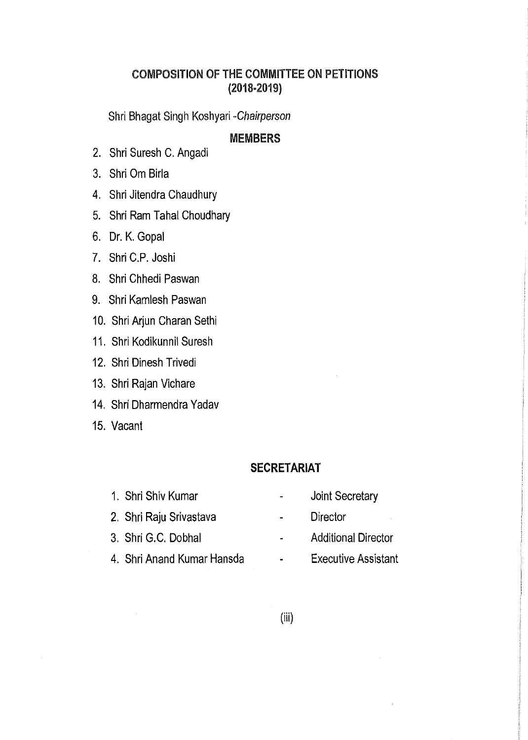# COMPOSITION OF THE COMMITTEE ON PETITIONS (2018-2019)

Shri Bhagat Singh Koshyari *-Chairperson* 

## **MEMBERS**

- 2. Shri Suresh C. Angadi
- 3. Shri Om Birla
- 4. Shri Jitendra Chaudhury
- 5. Shri Ram Tahal Choudhary
- 6. Dr. K. Gopal
- 7. Shri C.P. Joshi
- 8. Shri Chhedi Paswan
- 9. Shri Kamlesh Paswan
- 10. Shri Arjun Charan Sethi
- 11. Shri Kodikunnil Suresh
- 12. Shri Dinesh Trivedi
- 13. Shri Rajan Vichare
- 14. Shri Dharmendra Yadav
- 15. Vacant

## **SECRETARIAT**

- 1. Shri Shiv Kumar
- 2. Shri Raju Srivastava
- 3. Shri G.C. Dobhal
- 4. Shri Anand Kumar Hansda
- Joint Secretary  $\overline{a}$
- **Director**  $\omega$  .
- Additional Director  $\Delta \sim 10^4$
- Executive Assistant  $\mathbf{m} = 0$
- (iii)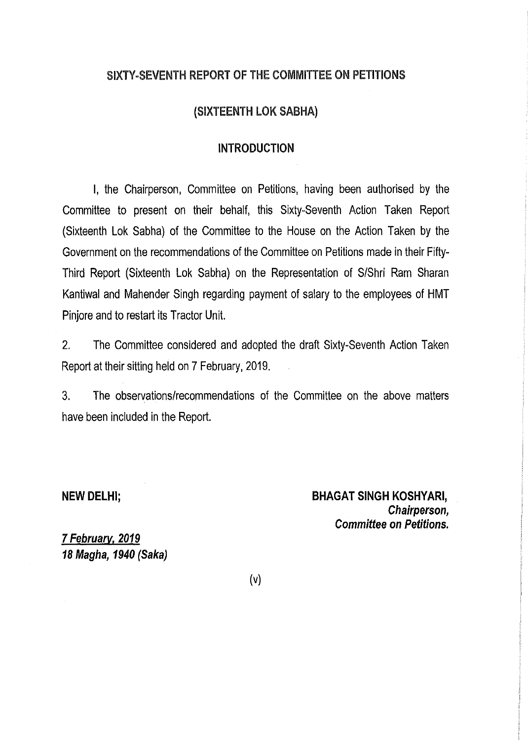# SIXTY-SEVENTH REPORT OF THE COMMITTEE ON PETITIONS

## (SIXTEENTH LOK SABHA)

## **INTRODUCTION**

I, the Chairperson, Committee on Petitions, having been authorised by the Committee to present on their behalf, this Sixty-Seventh Action Taken Report (Sixteenth Lok Sabha) of the Committee to the House on the Action Taken by the Government on the recommendations of the Committee on Petitions made in their Fifty-Third Report (Sixteenth Lok Sabha) on the Representation of S/Shri Ram Sharan Kantiwal and Mahender Singh regarding payment of salary to the employees of HMT Pinjore and to restart its Tractor Unit.

2. The Committee considered and adopted the draft Sixty-Seventh Action Taken Report at their sitting held on 7 February, 2019.

3. The observations/recommendations of the Committee on the above matters have been included in the Report.

#### **NEW DELHI;**

**BHAGAT SINGH KOSHYARI,**  *Chairperson, Committee on Petitions.* 

**7** *February. 2019 18 Magha, 1940 (Saka)* 

(v)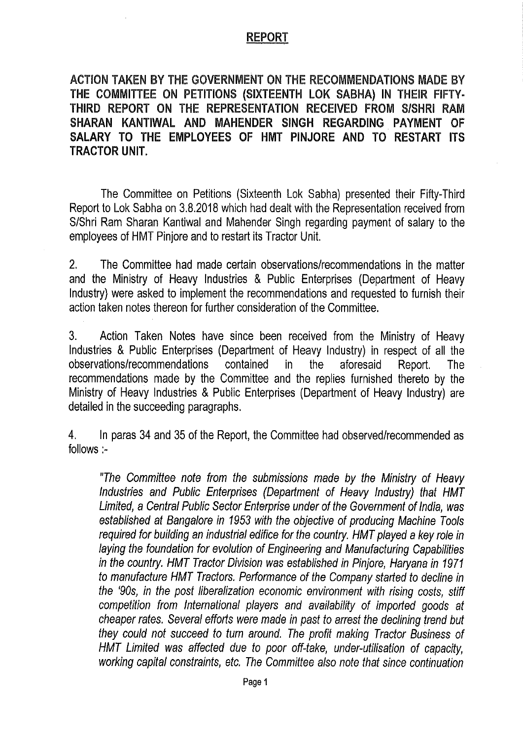## REPORT

ACTION TAKEN BY THE GOVERNMENT ON THE RECOMMENDATIONS MADE BY **THE COMMITTEE ON PETITIONS (SIXTEENTH LOK SABHA) IN THEIR** FIFTY· **THIRD REPORT ON** THE **REPRESENTATION RECEIVED FROM S/SHRI RAM SHARAN KANTIWAL AND MAHENDER SINGH REGARDING PAYMENT OF SALARY TO THE EMPLOYEES OF HMT PINJORE AND TO RESTART ITS TRACTOR UNIT.** 

The Committee on Petitions (Sixteenth Lok Sabha) presented their Fifty-Third Report to Lok Sabha on 3.8.2018 which had dealt with the Representation received from S/Shri Ram Sharan Kantiwal and Mahender Singh regarding payment of salary to the employees of HMT Pinjore and to restart its Tractor Unit.

2. The Committee had made certain observations/recommendations in the matter and the Ministry of Heavy Industries & Public Enterprises (Department of Heavy Industry) were asked to implement the recommendations and requested to furnish their action taken notes thereon for further consideration of the Committee.

3. Action Taken Notes have since been received from the Ministry of Heavy Industries & Public Enterprises (Department of Heavy Industry) in respect of all the observations/recommendations contained in the aforesaid Report. The recommendations made by the Committee and the replies furnished thereto by the Ministry of Heavy Industries & Public Enterprises (Department of Heavy Industry) are detailed in the succeeding paragraphs.

4. In paras 34 and 35 of the Report, the Committee had observed/recommended as follows:-

*"The Committee note from the submissions made by the Ministry of Heavy Industries and Public Enterprises (Department of Heavy Industry) that HMT Limited, a Central Public Sector Enterprise under of the Government of India, was established at Bangalore in 1953 with the objective of producing Machine Tools required for building an industrial edifice for the country. HMT played a key role in laying the foundation for evolution of Engineering and Manufacturing Capabilities in the country. HMT Tractor Division was established in Pinjore, Haryana in 1971 to manufacture HMT Tractors. Performance of the Company started to decline in the '90s, in the post liberalization economic environment with rising costs, stiff competition from International players and availability of imported goods at cheaper rates. Several efforts were made in past to arrest the declining trend but they could not succeed to turn around. The profit making Tractor Business of HMT Limited was affected due to poor off-take, under-utilisation of capacity, working capital constraints, etc. The Committee also note that since continuation*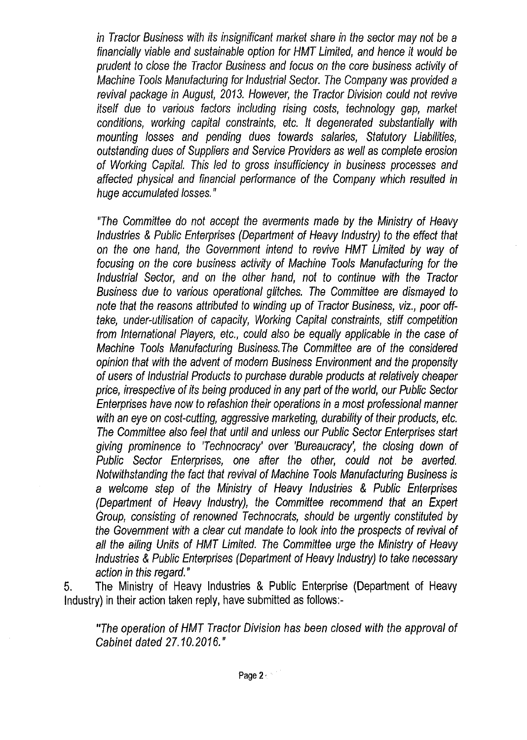*in Tractor Business with its insignificant market share in the sector may not be a financially viable and sustainable option for HMT Limited, and hence it would be prudent to close the Tractor Business and focus on the core business activity of Machine Tools Manufacturing for Industrial Sector. The Company was provided a revival package in August, 2013. However, the Tractor Division could not revive itself due to various factors including rising costs, technology gap, market conditions, working capital constraints, etc. It degenerated substantially with mounting losses and pending dues towards salaries, Statutory Liabilities, outstanding dues of Suppliers and Service Providers as well as complete erosion of Working Capital. This Jed to gross insufficiency in business processes and affected physical and financial performance of the Company which resulted in huge accumulated losses."* 

*"The Committee do not accept the averments made by the Ministry of Heavy Industries* & *Public Enterprises (Department of Heavy Industry) to the effect that on the one hand, the Government intend to revive HMT Limited by way of focusing on the core business activity of Machine Tools Manufacturing for the Industrial Sector, and on the other hand, not to continue with the Tractor Business due to various operational glitches. The Committee are dismayed to note that the reasons attributed to winding up of Tractor Business, viz., poor offtake, under-utilisation of capacity, Working Capital constraints, stiff competition from International Players, etc., could also be equally applicable in the case of Machine Tools Manufacturing Business. The Committee are of the considered opinion that with the advent of modern Business Environment and the propensity of users of Industrial Products to purchase durable products at relatively cheaper price, irrespective of its being produced in any part of the world, our Public Sector Enterprises have now to refashion their operations in a most professional manner with an eye on cost-cutting, aggressive marketing, durability of their products, etc. The Committee also feel that until and unless our Public Sector Enterprises start giving prominence to 'Technocracy' over 'Bureaucracy', the closing down of Public Sector Enterprises, one after the other, could not be averted. Notwithstanding the fact that revival of Machine Tools Manufacturing Business is a welcome step of the Ministry of Heavy Industries* & *Public Enterprises (Department of Heavy Industry), the Committee recommend that an Expert Group, consisting of renowned Technocrats, should be urgently constituted by the Government with a clear cut mandate to look into the prospects of revival of all the ailing Units of HMT Limited. The Committee urge the Ministry of Heavy Industries* & *Public Enterprises (Department of Heavy Industry) to take necessary action in this regard."* 

5. The Ministry of Heavy Industries & Public Enterprise (Department of Heavy Industry) in their action taken reply, have submitted as follows:-

*"The operation of HMT Tractor Division has been closed with the approval of Cabinet dated 27.10.2016."*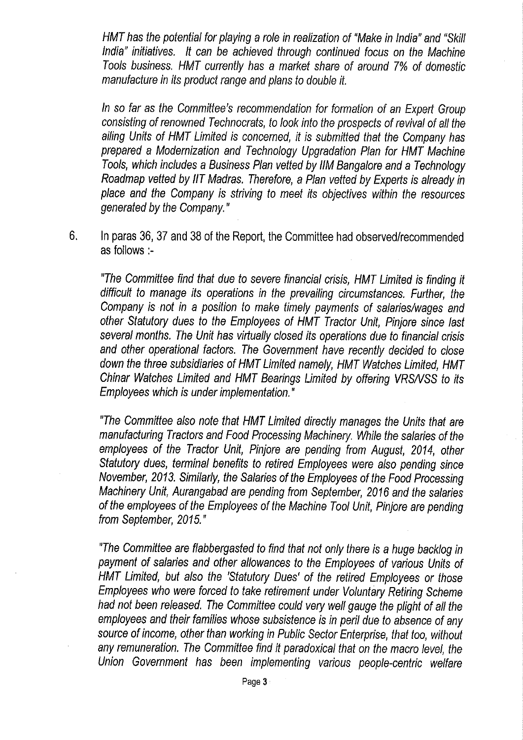*HMT has the potential for playing a role in realization of "Make in India" and "Skill India" initiatives.* It can be achieved through continued focus on the Machine *T* oo/s *business. HMT currently has a market share of around 7% of domestic manufacture in its product range and plans to double it.* 

*In* so *far* as *the Committee's recommendation for formation of an Expert Group consisting of renowned Technocrats, to look into the prospects of revival of all the ailing Units of HMT Limited is concerned, it is submitted that the Company has prepared a Modernization and Technology Upgradation Plan for HMT Machine Tools, which includes a Business Plan vetted by 1/M Bangalore and a Technology Roadmap vetted by /IT Madras. Therefore, a Plan vetted by Experts is already in place and the Company is striving to meet its objectives within the resources generated by the Company."* 

6. In paras 36, 37 and 38 of the Report, the Committee had observed/recommended as follows:-

*"The Committee find that due to severe financial crisis, HMT Limited is finding it difficult to manage its operations in the prevailing circumstances. Further, the Company is not in a position to make timely payments of salaries/wages and other Statutory dues to the Employees of HMT Tractor Unit, Pinjore since last several months. The Unit has virtually closed its operations due to financial crisis and other operational factors. The Government have recently decided to close down the three subsidiaries of HMT Limited namely, HMT Watches Limited, HMT Chinar Watches Limited and HMT Bearings Limited by offering VRSNSS to its Employees which is under implementation."* 

*"The Committee also note that HMT Limited directly manages the Units that are manufacturing Tractors and Food Processing Machinery. While the salaries of the employees of the Tractor Unit, Pinjore are pending from August, 2014, other Statutory dues, terminal benefits to retired Employees were also pending since November, 2013. Similarly, the Salaries of the Employees of the Food Processing Machinery Unit, Aurangabad are pending from September, 2016 and the salaries of the employees of the Employees of the Machine Tool Unit, Pinjore are pending from September, 2015."* 

*"The Committee are flabbergasted to find that not only there is a huge backlog in payment of salaries and other allowances to the Employees of various Units of HMT Limited, but also the 'Statutory Dues' of the retired Employees or those Employees who were forced to take retirement under Voluntary Retiring Scheme had not been released. The Committee could very well gauge the plight of all the employees and their families whose subsistence is in peril due to absence of any source of income, other than working in Public Sector Enterprise, that too, without any remuneration. The Committee find it paradoxical that on the macro level, the Union Government has been implementing various people-centric welfare*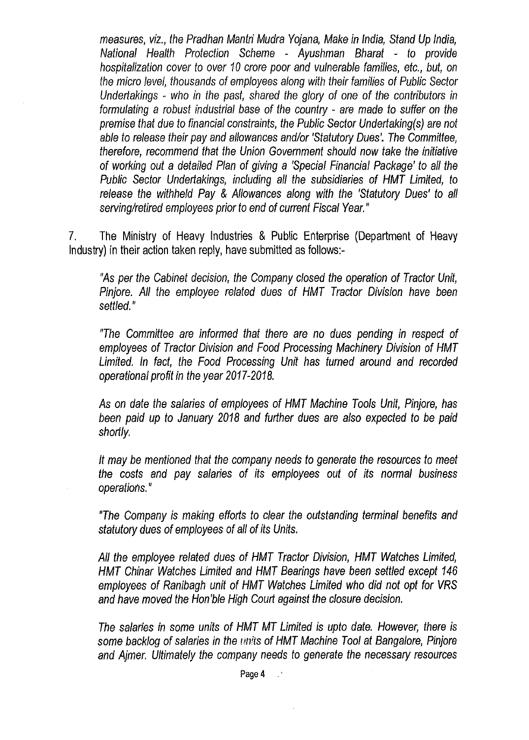*measures, viz., the Pradhan Mantri Mudra Yojana, Make in India, Stand Up India, National Health Protection Scheme* - *Ayushman Bharat* - *to provide hospitalization cover to over 10 crore poor and vulnerable families, etc., but, on the micro level, thousands of employees along with their families of Public Sector Undertakings* - *who in the past, shared the glory of one of the contributors in formulating* a *robust industrial base of the country* - *are made to suffer on the premise that due to financial constraints, the Public Sector Undertaking(s) are not able to release their pay and allowances and/or 'Statutory Dues'. The Committee, therefore, recommend that the Union Government should now take the initiative of working out* a *detailed Plan of giving* a *'Special Financial Package' to all the Public Sector Undertakings, including all the subsidiaries of HMT Limited, to release the withheld Pay* & *Allowances along with the 'Statutory Dues' to all serving/retired employees prior to end of current Fiscal Year."* 

7. The Ministry of Heavy Industries & Public Enterprise (Department of Heavy Industry) in their action taken reply, have submitted as follows:-

"As *per the Cabinet decision, the Company closed the operation of Tractor Unit, Pinjore. All the employee related dues of HMT Tractor Division have been settled."* 

*"The Committee are informed that there are no dues pending in respect of employees of Tractor Division and Food Processing Machinery Division of HMT Limited. In fact, the Food Processing Unit* has *turned around and recorded operational profit in the year 2017-2018.* 

As *on date the salaries of employees of HMT Machine Tools Unit, Pinjore,* has *been paid up to January 2018 and further dues are* a/so *expected to be paid shortly.* 

*It may be mentioned that the company needs to generate the resources to meet the* costs *and pay salaries of its employees out of its normal business operations.* "

*"The Company* is *making efforts to clear the outstanding terminal benefits and statutory dues of employees of all of its Units.* 

*All the employee related dues of HMT Tractor Division, HMT Watches Limited, HMT Chinar Watches Limited and HMT Bearings have been settled except 146 employees of Ranibagh unit of HMT Watches Limited who did not opt for VRS and have moved the Hon'ble High Court against the closure decision.* 

*The salaries in* some *units of HMT MT Limited* is *upto date. However, there* is some *backlog of salaries in the* units *of HMT Machine Tool at Bangalore, Pinjore and Ajmer. Ultimately the company needs to generate the* necessary *resources*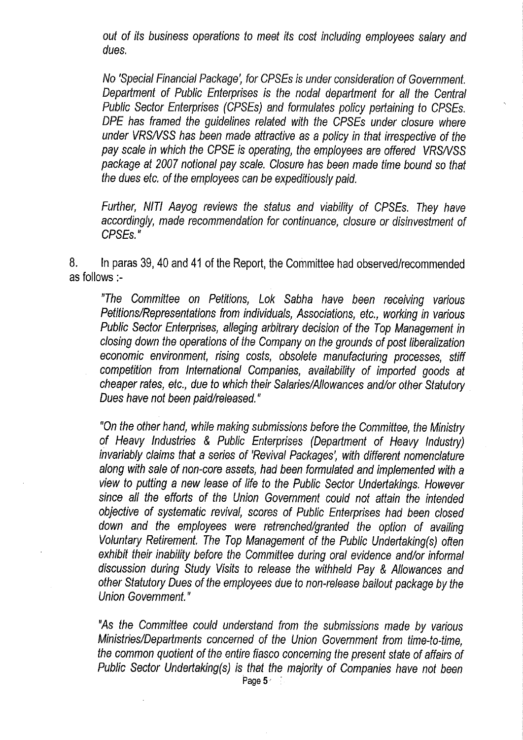*out of its business operations to meet its cost including employees salary and dues.* 

*No 'Special Financial Package', for CPSEs is under consideration of Government. Department of Public Enterprises is the nodal department for all the Central Public Sector Enterprises (CPSEs) and formulates policy pertaining to CPSEs. DPE has framed the guidelines related with the CPSEs under closure where under VRSNSS has been made attractive as a policy in that irrespective of the pay scale in which the CPSE is operating, the employees are offered VRSNSS package at 2007 notional pay scale. Closure has been made time bound so that the dues etc. of the employees can be expeditiously paid.* 

*Further, NIT/ Aayog reviews the status and viability of CPSEs. They have accordingly, made recommendation for continuance, closure or disinvestment of CPSEs."* 

8. In paras 39, 40 and 41 of the Report, the Committee had observed/recommended as follows :-

*"The Committee on Petitions, Lok Sabha have been receiving various Petitions/Representations from individuals, Associations, etc., working in various Public Sector Enterprises, alleging arbitrary decision of the Top Management in closing down the operations of the Company on the grounds of post liberalization economic environment, rising costs, obsolete manufacturing processes, stiff competition from International Companies, availability of imported goods at cheaper rates, etc., due to which their Salaries/Allowances and/or other Statutory Dues have not been paid/released.* "

*"On the other hand, while making submissions before the Committee, the Ministry of Heavy Industries* & *Public Enterprises (Department of Heavy Industry) invariably claims that a series of 'Revival Packages', with different nomenclature along with sale of non-core assets, had been formulated and implemented with a view to putting a new lease of life to the Public Sector Undertakings. However since all the efforts of the Union Government could not attain the intended objective of systematic revival, scores of Public Enterprises had been closed down and the employees were retrenched/granted the option of availing Voluntary Retirement. The Top Management of the Public Undertaking(s) often exhibit their inability before the Committee during oral evidence and/or informal discussion during Study Visits to release the withheld Pay* & *Allowances and other Statutory Dues of the employees due to non-release bailout package by the Union Government.* "

*"As the Committee could understand from the submissions made by various Ministries/Departments concerned of the Union Government from time-to-time, the common quotient of the entire fiasco concerning the present state of affairs of Public Sector Undertaking(s) is that the majority of Companies have not been*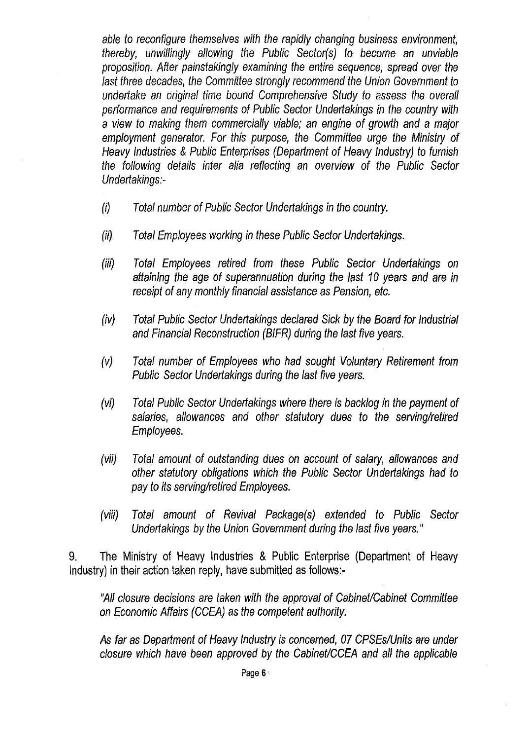*able to reconfigure themselves with the rapidly changing business environment, thereby, unwillingly allowing the Public Sector(s) to become an unviable proposition. After painstakingly examining the entire sequence, spread over the last three decades, the Committee strongly recommend the Union Government to undertake an original time bound Comprehensive Study to* assess *the overall performance and requirements of Public Sector Undertakings in the country with*  a *view to making them commercially viable; an engine of growth and* a *major employment generator. For this purpose, the Committee urge the Ministry of Heavy Industries* & *Public Enterprises (Department of Heavy Industry) to furnish the following details inter alia reflecting an overview of the Public Sector Undertakings:-*

- *(i) Total number of Public Sector Undertakings in the country.*
- *(ii) Total Employees working in these Public Sector Undertakings.*
- *(iii) Total Employees retired from these Public Sector Undertakings on attaining the age of superannuation during the last 10* years *and are in receipt of any monthly financial* assistance as *Pension, etc.*
- *(iv) Total Public Sector Undertakings declared Sick by the Board for Industrial and Financial Reconstruction (BIFR) during the last five* years.
- *(v) Total number of Employees who had sought Voluntary Retirement from Public Sector Undertakings during the last five years.*
- *(vi) Total Public Sector Undertakings where there* is *backlog in the payment of salaries, allowances and other statutory dues to the serving/retired Employees.*
- *(vii) Total amount of outstanding dues on account of salary, allowances and other statutory obligations which the Public Sector Undertakings had to pay to its serving/retired Employees.*
- *(viii) Total amount of Revival Package(s) extended to Public Sector Undertakings by the Union Government during the last five years."*

9. The Ministry of Heavy Industries & Public Enterprise (Department of Heavy Industry) in their action taken reply, have submitted as follows:-

*"A/1 closure decisions are taken with the approval of Cabinet/Cabinet Committee on Economic Affairs (CCEA)* as *the competent authority.* 

As *far* as *Department of Heavy Industry* is *concerned, 07 CPSEs!Units are under closure which have been approved by the Cabinet!CCEA and all the applicable*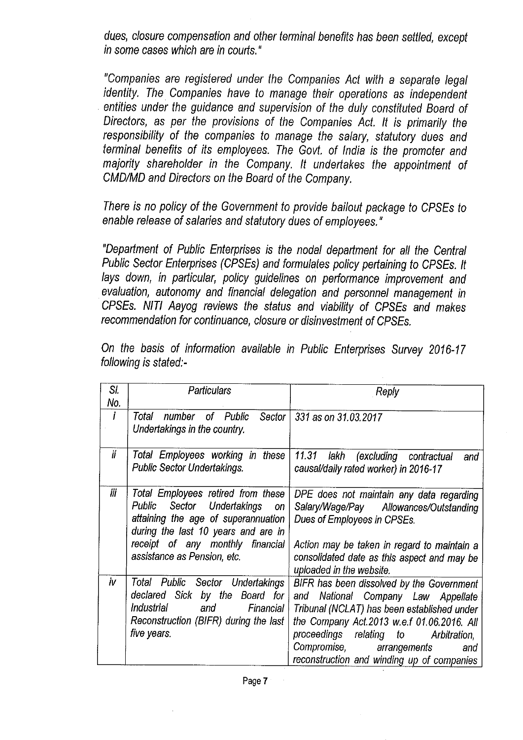*dues, closure compensation and other terminal benefits has been settled, except in some cases which are in courts.* "

*"Companies are registered under the Companies Act with a separate legal identity. The Companies have to manage their operations as independent entities under the guidance and supervision of the duly constituted Board of Directors, as per the provisions of the Companies Act. It is primarily the responsibility of the companies to manage the salary, statutory dues and terminal benefits of its employees. The Govt. of India is the promoter and majority shareholder in the Company. It undertakes the appointment of GMO/MD and Directors on the Board of the Company.* 

*There is no policy of the Government to provide bailout package to CPSEs to enable release of salaries and statutory dues of employees."* 

*"Department of Public Enterprises is the nodal department for all the Central Public Sector Enterprises (CPSEs) and formulates policy pertaining to CPSEs. It lays down, in particular, policy guidelines on performance improvement and evaluation, autonomy and financial delegation and personnel management in CPSEs. NIT/ Aayog reviews the status and viability of CPSEs and makes recommendation for continuance, closure or disinvestment of CPSEs.* 

| SI. | Particulars                                | Reply                                          |
|-----|--------------------------------------------|------------------------------------------------|
| No. |                                            |                                                |
| Ť   | of Public<br>Total<br>number<br>Sector     | 331 as on 31.03.2017                           |
|     | Undertakings in the country.               |                                                |
|     |                                            |                                                |
| ii  | Total Employees working in these           | 11.31<br>lakh<br>(excluding contractual<br>and |
|     | <b>Public Sector Undertakings.</b>         | causal/daily rated worker) in 2016-17          |
|     |                                            |                                                |
| Ϊiί | Total Employees retired from these         |                                                |
|     |                                            | DPE does not maintain any data regarding       |
|     | Sector Undertakings<br><b>Public</b><br>on | Salary/Wage/Pay Allowances/Outstanding         |
|     | attaining the age of superannuation        | Dues of Employees in CPSEs.                    |
|     | during the last 10 years and are in        |                                                |
|     | receipt of any monthly financial           | Action may be taken in regard to maintain a    |
|     | assistance as Pension, etc.                | consolidated date as this aspect and may be    |
|     |                                            | uploaded in the website.                       |
|     |                                            |                                                |
| iv  | Total Public<br>Sector Undertakings        | BIFR has been dissolved by the Government      |
|     | declared Sick by the Board<br>for          | National Company Law Appellate<br>and          |
|     | <i>Industrial</i><br>Financial<br>and      | Tribunal (NCLAT) has been established under    |
|     | Reconstruction (BIFR) during the last      | the Company Act.2013 w.e.f 01.06.2016. All     |
|     | five years.                                | proceedings<br>relating to<br>Arbitration,     |
|     |                                            | Compromise, arrangements<br>and                |
|     |                                            |                                                |
|     |                                            | reconstruction and winding up of companies     |

*On the basis of information available in Public Enterprises Survey 2016-17 following is stated:-*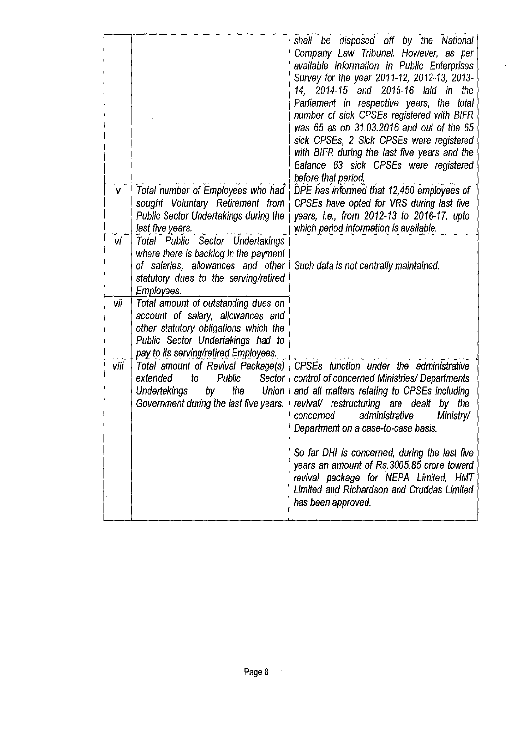|      |                                                      | shall be disposed off by the National<br>Company Law Tribunal. However, as per      |
|------|------------------------------------------------------|-------------------------------------------------------------------------------------|
|      |                                                      | available information in Public Enterprises                                         |
|      |                                                      | Survey for the year 2011-12, 2012-13, 2013-                                         |
|      |                                                      | 2014-15 and 2015-16 laid in<br>14.<br>the                                           |
|      |                                                      | Parliament in respective years, the total                                           |
|      |                                                      | number of sick CPSEs registered with BIFR                                           |
|      |                                                      | was 65 as on 31.03.2016 and out of the 65                                           |
|      |                                                      | sick CPSEs, 2 Sick CPSEs were registered                                            |
|      |                                                      | with BIFR during the last five years and the                                        |
|      |                                                      | Balance 63 sick CPSEs were registered                                               |
|      |                                                      | before that period.                                                                 |
| V    | Total number of Employees who had                    | DPE has informed that 12,450 employees of                                           |
|      | sought Voluntary Retirement from                     | CPSEs have opted for VRS during last five                                           |
|      | Public Sector Undertakings during the                | years, i.e., from 2012-13 to 2016-17, upto                                          |
| vi   | last five years.<br>Total Public Sector Undertakings | which period information is available.                                              |
|      | where there is backlog in the payment                |                                                                                     |
|      | of salaries, allowances and other                    | Such data is not centrally maintained.                                              |
|      | statutory dues to the serving/retired                |                                                                                     |
|      | <b>Employees</b>                                     |                                                                                     |
| Vİİ  | Total amount of outstanding dues on                  |                                                                                     |
|      | account of salary, allowances and                    |                                                                                     |
|      | other statutory obligations which the                |                                                                                     |
|      | Public Sector Undertakings had to                    |                                                                                     |
|      | pay to its serving/retired Employees.                |                                                                                     |
| viii | Total amount of Revival Package(s)                   | CPSEs function under the administrative                                             |
|      | Public<br>extended<br>to<br>Sector                   | control of concerned Ministries/ Departments                                        |
|      | the<br><b>Undertakings</b><br>by<br><b>Union</b>     | and all matters relating to CPSEs including                                         |
|      | Government during the last five years.               | revival/ restructuring are dealt by the<br>administrative<br>Ministry/<br>concerned |
|      |                                                      | Department on a case-to-case basis.                                                 |
|      |                                                      |                                                                                     |
|      |                                                      | So far DHI is concerned, during the last five                                       |
|      |                                                      | years an amount of Rs.3005.85 crore toward                                          |
|      |                                                      | revival package for NEPA Limited, HMT                                               |
|      |                                                      | Limited and Richardson and Cruddas Limited                                          |
|      |                                                      | has been approved.                                                                  |
|      |                                                      |                                                                                     |

 $\sim$ 

 $\hat{\boldsymbol{\beta}}$ 

 $\hat{\mathcal{A}}$ 

l,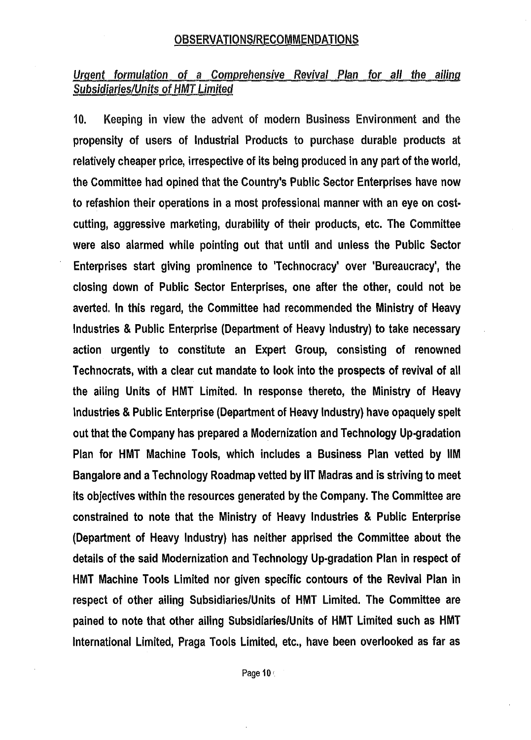#### OBSERVATIONS/RECOMMENDATIONS

# *Urgent formulation* of *a Comprehensive Revival Plan for all the ailing Subsidiaries/Units* of *HMT Limited*

10. Keeping in view the advent of modern Business Environment and the propensity of users of Industrial Products to purchase durable products at relatively cheaper price, irrespective of its being produced in any part of the world, the Committee had opined that the Country's Public Sector Enterprises have now to refashion their operations in a most professional manner with an eye on costcutting, aggressive marketing, durability of their products, etc. The Committee were also alarmed while pointing out that until and unless the Public Sector Enterprises start giving prominence to 'Technocracy' over 'Bureaucracy', the closing down of Public Sector Enterprises, one after the other, could not be averted. In this regard, the Committee had recommended the Ministry of Heavy Industries & Public Enterprise (Department of Heavy Industry) to take necessary action urgently to constitute an Expert Group, consisting of renowned Technocrats, with a clear cut mandate to look into the prospects of revival of all the ailing Units of HMT Limited. In response thereto, the Ministry of Heavy Industries & Public Enterprise (Department of Heavy Industry) have opaquely spelt out that the Company has prepared a Modernization and Technology Up-gradation Plan for HMT Machine Tools, which includes a Business Plan vetted by IIM Bangalore and a Technology Roadmap vetted by IIT Madras and is striving to meet its objectives within the resources generated by the Company. The Committee are constrained to note that the Ministry of Heavy Industries & Public Enterprise {Department of Heavy Industry) has neither apprised the Committee about the details of the said Modernization and Technology Up-gradation Plan in respect of HMT Machine Tools Limited nor given specific contours of the Revival Plan in respect of other ailing Subsidiaries/Units of HMT Limited. The Committee are pained to note that other ailing Subsidiaries/Units of HMT Limited such as HMT International Limited, Praga Tools Limited, etc., have been overlooked as far as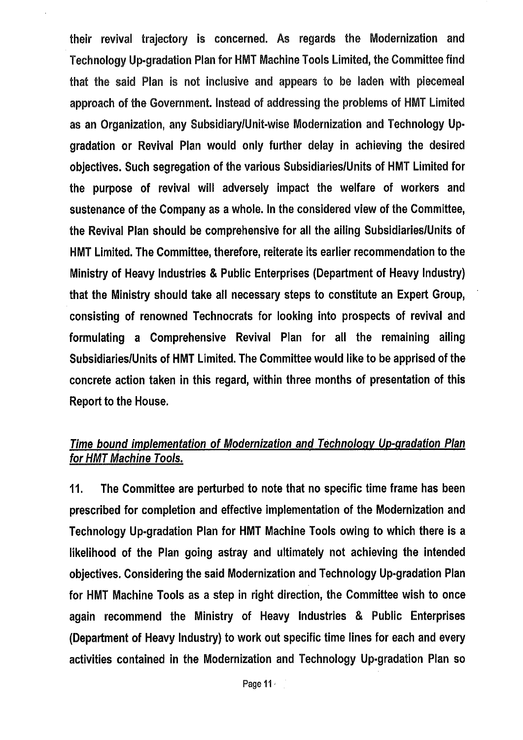their revival trajectory is concerned. As regards the Modernization and Technology Up-gradation Plan for HMT Machine Tools limited, the Committee find that the said Plan is not inclusive and appears to be laden with piecemeal approach of the Government. Instead of addressing the problems of HMT Limited as an Organization, any Subsidiary/Unit-wise Modernization and Technology Upgradation or Revival Plan would only further delay in achieving the desired objectives. Such segregation of the various Subsidiaries/Units of HMT Limited for the purpose of revival will adversely impact the welfare of workers and sustenance of the Company as a whole. In the considered view of the Committee, the Revival Plan should be comprehensive for all the ailing Subsidiaries/Units of HMT Limited. The Committee, therefore, reiterate its earlier recommendation to the Ministry of Heavy Industries & Public Enterprises (Department of Heavy Industry) that the Ministry should take all necessary steps to constitute an Expert Group, consisting of renowned Technocrats for looking into prospects of revival and formulating a Comprehensive Revival Plan for all the remaining ailing Subsidiaries/Units of HMT Limited. The Committee would like to be apprised of the concrete action taken in this regard, within three months of presentation of this Report to the House.

# *Time bound implementation of Modernization and Technology Up-gradation Plan for HMT Machine Tools.*

11. The Committee are perturbed to note that no specific time frame has been prescribed for completion and effective implementation of the Modernization and Technology Up-gradation Plan for HMT Machine Tools owing to which there is a likelihood of the Plan going astray and ultimately not achieving the intended objectives. Considering the said Modernization and Technology Up-gradation Plan for HMT Machine Tools as a step in right direction, the Committee wish to once again recommend the Ministry of Heavy Industries & Public Enterprises (Department of Heavy Industry) to work out specific time lines for each and every activities contained in the Modernization and Technology Up-gradation Plan so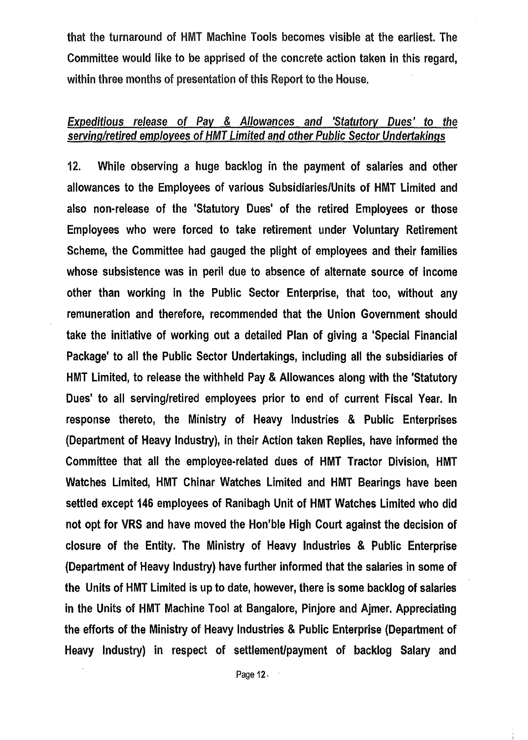that the turnaround of HMT Machine Tools becomes visible at the earliest. The Committee would like to be apprised of the concrete action taken in this regard, within three months of presentation of this Report to the House.

# *Expeditious release* of *Pay* & *Allowances and 'Statutory Dues'* to *the serving/retired employees* of *HMT Limited and other Public* Sector *Undertakings*

12. While observing a huge backlog in the payment of salaries and other allowances to the Employees of various Subsidiaries/Units of HMT Limited and also non-release of the 'Statutory Dues' of the retired Employees or those Employees who were forced to take retirement under Voluntary Retirement Scheme, the Committee had gauged the plight of employees and their families whose subsistence was in peril due to absence of alternate source of income other than working in the Public Sector Enterprise, that too, without any remuneration and therefore, recommended that the Union Government should take the initiative of working out a detailed Plan of giving a 'Special Financial Package' to all the Public Sector Undertakings, including all the subsidiaries of HMT Limited, to release the withheld Pay & Allowances along with the 'Statutory Dues' to all serving/retired employees prior to end of current Fiscal Year. In response thereto, the Ministry of Heavy Industries & Public Enterprises (Department of Heavy Industry), in their Action taken Replies, have informed the Committee that all the employee-related dues of HMT Tractor Division, HMT Watches Limited, HMT Chinar Watches Limited and HMT Bearings have been settled except 146 employees of Ranibagh Unit of HMT Watches Limited who did not opt for VRS and have moved the Hon'ble High Court against the decision of closure of the Entity. The Ministry of Heavy Industries & Public Enterprise (Department of Heavy Industry) have further informed that the salaries in some of the Units of HMT Limited is up to date, however, there is some backlog of salaries in the Units of HMT Machine Tool at Bangalore, Pinjore and Ajmer. Appreciating the efforts of the Ministry of Heavy Industries & Public Enterprise (Department of Heavy Industry) in respect of settlement/payment of backlog Salary and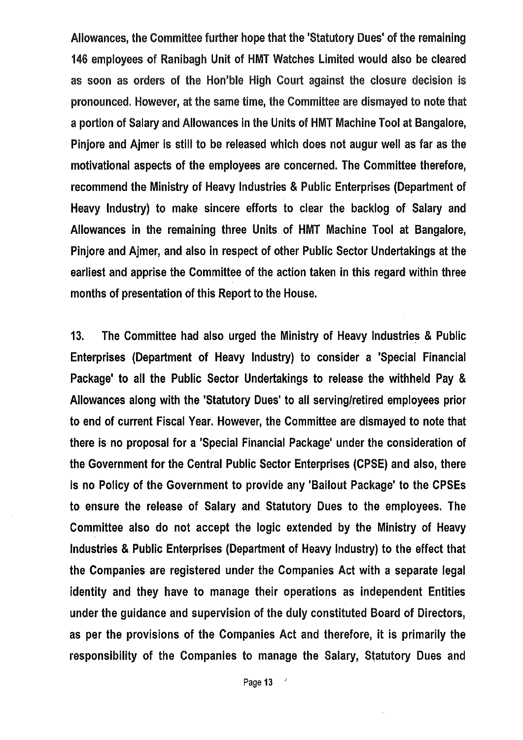Allowances, the Committee further hope that the 'Statutory Dues' of the remaining 146 employees of Ranibagh Unit of HMT Watches Limited would also be cleared as soon as orders of the Hon'ble High Court against the closure decision is pronounced. However, at the same time, the Committee are dismayed to note that a portion of Salary and Allowances in the Units of HMT Machine Tool at Bangalore, Pinjore and Ajmer is still to be released which does not augur well as far as the motivational aspects of the employees are concerned. The Committee therefore, recommend the Ministry of Heavy Industries & Public Enterprises (Department of Heavy Industry) to make sincere efforts to clear the backlog of Salary and Allowances in the remaining three Units of HMT Machine Tool at Bangalore, Pinjore and Ajmer, and also in respect of other Public Sector Undertakings at the earliest and apprise the Committee of the action taken in this regard within three months of presentation of this Report to the House.

13. The Committee had also urged the Ministry of Heavy Industries & Public Enterprises (Department of Heavy Industry) to consider a 'Special Financial Package' to all the Public Sector Undertakings to release the withheld Pay & Allowances along with the 'Statutory Dues' to all serving/retired employees prior to end of current Fiscal Year. However, the Committee are dismayed to note that there is no proposal for a 'Special Financial Package' under the consideration of the Government for the Central Public Sector Enterprises (CPSE) and also, there is no Policy of the Government to provide any 'Bailout Package' to the CPSEs to ensure the release of Salary and Statutory Dues to the employees. The Committee also do not accept the logic extended by the Ministry of Heavy Industries & Public Enterprises (Department of Heavy Industry) to the effect that the Companies are registered under the Companies Act with a separate legal identity and they have to manage their operations as independent Entities under the guidance and supervision of the duly constituted Board of Directors, as per the provisions of the Companies Act and therefore, it is primarily the responsibility of the Companies to manage the Salary, Statutory Dues and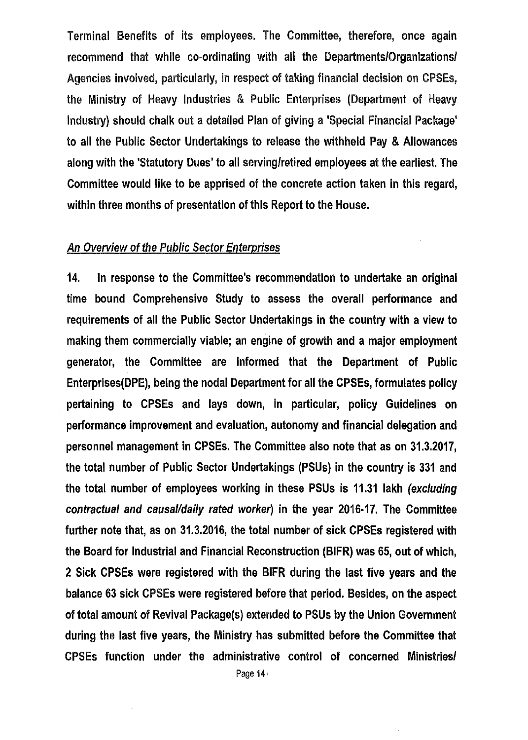Terminal Benefits of its employees. The Committee, therefore, once again recommend that while co-ordinating with all the Departments/Organizations/ Agencies involved, particularly, in respect of taking financial decision on CPSEs, the Ministry of Heavy Industries & Public Enterprises (Department of Heavy Industry) should chalk out a detailed Plan of giving a 'Special Financial Package' to all the Public Sector Undertakings to release the withheld Pay & Allowances along with the 'Statutory Dues' to all serving/retired employees at the earliest. The Committee would like to be apprised of the concrete action taken in this regard, within three months of presentation of this Report to the House.

#### *An Overview* of *the Public Sector Enterprises*

14. In response to the Committee's recommendation to undertake an original time bound Comprehensive Study to assess the overall performance and requirements of all the Public Sector Undertakings in the country with a view to making them commercially viable; an engine of growth and a major employment generator, the Committee are informed that the Department of Public Enterprises(DPE), being the nodal Department for all the CPSEs, formulates policy pertaining to CPSEs and lays down, in particular, policy Guidelines on performance improvement and evaluation, autonomy and financial delegation and personnel management in CPSEs. The Committee also note that as on 31.3.2017, the total number of Public Sector Undertakings (PSUs) in the country is 331 and the total number of employees working in these PSUs is 11.31 lakh *(excluding contractual and causal/daily rated worker)* in the year 2016-17. The Committee further note that, as on 31.3.2016, the total number of sick CPSEs registered with the Board for Industrial and Financial Reconstruction (BIFR) was 65, out of which, 2 Sick CPSEs were registered with the BIFR during the last five years and the balance 63 sick CPSEs were registered before that period. Besides, on the aspect of total amount of Revival Package(s) extended to PSUs by the Union Government during the last five years, the Ministry has submitted before the Committee that CPSEs function under the administrative control of concerned Ministries/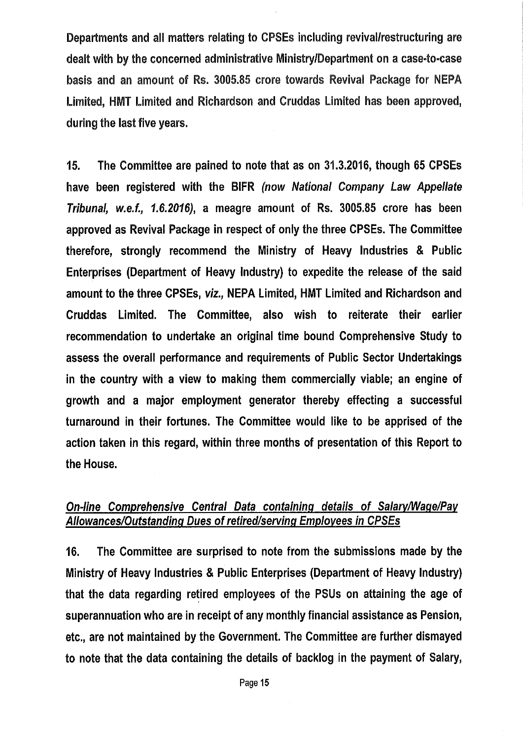Departments and all matters relating to CPSEs including revival/restructuring are dealt with by the concerned administrative Ministry/Department on a case-to-case basis and an amount of Rs. 3005.85 crore towards Revival Package for NEPA Limited, HMT Limited and Richardson and Cruddas limited has been approved, during the last five years.

15. The Committee are pained to note that as on 31.3.2016, though 65 CPSEs have been registered with the BIFR *(now National Company Law Appellate Tribunal, w.e.f., 1.6.2016),* a meagre amount of Rs. 3005.85 crore has been approved as Revival Package in respect of only the three CPSEs. The Committee therefore, strongly recommend the Ministry of Heavy Industries & Public Enterprises (Department of Heavy Industry) to expedite the release of the said amount to the three CPSEs, *viz.,* NEPA Limited, HMT Limited and Richardson and Cruddas Limited. The Committee, also wish to reiterate their earlier recommendation to undertake an original time bound Comprehensive Study to assess the overall performance and requirements of Public Sector Undertakings in the country with a view to making them commercially viable; an engine of growth and a major employment generator thereby effecting a successful turnaround in their fortunes. The Committee would like to be apprised of the action taken in this regard, within three months of presentation of this Report to the House.

# *On-line Comprehensive Central Data containing details* of *Salary/Wage/Pay Allowances/Outstanding Dues* of *retired/serving Employees in CPSEs*

16. The Committee are surprised to note from the submissions made by the Ministry of Heavy Industries & Public Enterprises (Department of Heavy Industry) that the data regarding retired employees of the PSUs on attaining the age of superannuation who are in receipt of any monthly financial assistance as Pension, etc., are not maintained by the Government. The Committee are further dismayed to note that the data containing the details of backlog in the payment of Salary,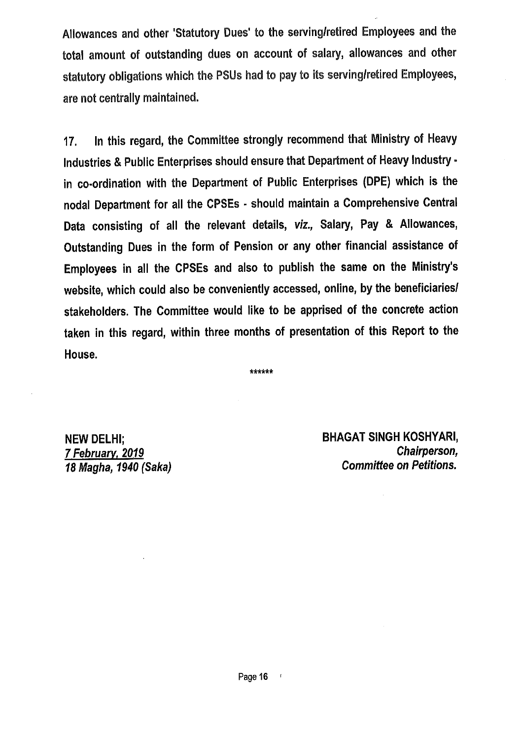Allowances and other 'Statutory Dues' to the serving/retired Employees and the total amount of outstanding dues on account of salary, allowances and other statutory obligations which the PSUs had to pay to its serving/retired Employees, are not centrally maintained.

17. In this regard, the Committee strongly recommend that Ministry of Heavy Industries & Public Enterprises should ensure that Department of Heavy Industry. in co-ordination with the Department of Public Enterprises (DPE) which is the nodal Department for all the CPSEs • should maintain a Comprehensive Central Data consisting of all the relevant details, *viz.,* Salary, Pay & Allowances, Outstanding Dues in the form of Pension or any other financial assistance of Employees in all the CPSEs and also to publish the same on the Ministry's website, which could also be conveniently accessed, online, by the beneficiaries/ stakeholders. The Committee would like to be apprised of the concrete action taken in this regard, within three months of presentation of this Report to the House.

\*\*\*\*\*\*

NEW DELHI; *7 February, 2019 18 Magha, 1940 (Saka)*  BHAGAT SINGH KOSHYARI, *Chairperson,*  Committee on *Petitions.*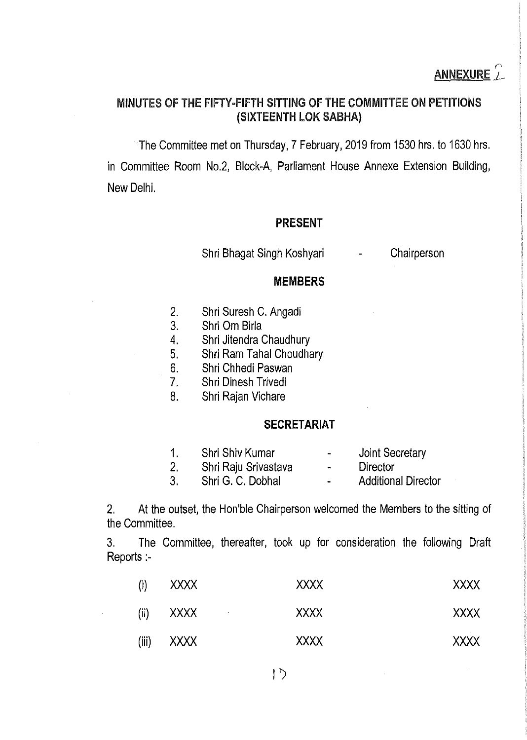## MINUTES OF THE FIFTY-FIFTH SITTING OF THE COMMITTEE ON PETITIONS (SIXTEENTH LOK SABHA)

The Committee met on Thursday, 7 February, 2019 from 1530 hrs. to 1630 hrs. in Committee Room No.2, Block-A, Parliament House Annexe Extension Building, New Delhi.

## **PRESENT**

Shri Bhagat Singh Koshyari

**Chairperson** 

#### **MEMBERS**

- 2. Shri Suresh C. Angadi
- 3. Shri Om Birla
- 4. Shri Jitendra Chaudhury
- 5. Shri Ram Tahal Choudhary
- 6. Shri Chhedi Paswan
- 7. Shri Dinesh Trivedi
- 8. Shri Rajan Vichare

#### **SECRETARIAT**

- 1. 2. Shri Shiv Kumar Shri Raju Srivastava Joint Secretary
- 3. Shri G. C. Dobhal
- **Director**  $\overline{a}$

÷,

Additional Director

2. At the outset, the Hon'ble Chairperson welcomed the Members to the sitting of the Committee.

3. The Committee, thereafter, took up for consideration the following Draft Reports:-

| $\mathbf{\hat{a}}$ | <b>XXXX</b>        | <b>XXXX</b> | <b>XXXX</b> |
|--------------------|--------------------|-------------|-------------|
| (ii)               | XXXX<br>$\sim 100$ | <b>XXXX</b> | <b>XXXX</b> |
| (iii)              | XXXX               | <b>XXXX</b> | <b>XXXX</b> |